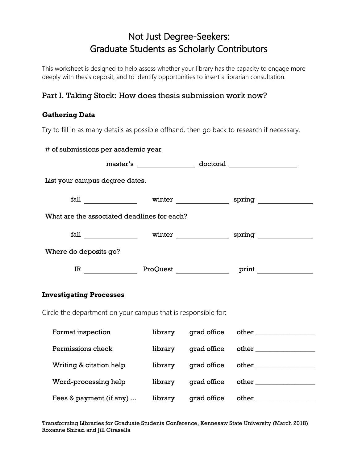# Not Just Degree-Seekers: Graduate Students as Scholarly Contributors

This worksheet is designed to help assess whether your library has the capacity to engage more deeply with thesis deposit, and to identify opportunities to insert a librarian consultation.

## Part I. Taking Stock: How does thesis submission work now?

### **Gathering Data**

Try to fill in as many details as possible offhand, then go back to research if necessary.

| # of submissions per academic year                            |                                                                                  |  |  |                           |  |  |
|---------------------------------------------------------------|----------------------------------------------------------------------------------|--|--|---------------------------|--|--|
|                                                               |                                                                                  |  |  |                           |  |  |
| List your campus degree dates.                                |                                                                                  |  |  |                           |  |  |
|                                                               | fall __________________ winter _____________________ spring ____________________ |  |  |                           |  |  |
| What are the associated deadlines for each?                   |                                                                                  |  |  |                           |  |  |
|                                                               |                                                                                  |  |  |                           |  |  |
| Where do deposits go?                                         |                                                                                  |  |  |                           |  |  |
| IR ProQuest ProQuest Print                                    |                                                                                  |  |  |                           |  |  |
| <b>Investigating Processes</b>                                |                                                                                  |  |  |                           |  |  |
| Circle the department on your campus that is responsible for: |                                                                                  |  |  |                           |  |  |
| Format inspection                                             |                                                                                  |  |  |                           |  |  |
| Permissions check                                             |                                                                                  |  |  |                           |  |  |
| Writing & citation help                                       |                                                                                  |  |  | library grad office other |  |  |
| Word-processing help                                          |                                                                                  |  |  |                           |  |  |
| Fees & payment (if any)                                       |                                                                                  |  |  |                           |  |  |

Transforming Libraries for Graduate Students Conference, Kennesaw State University (March 2018) Roxanne Shirazi and Jill Cirasella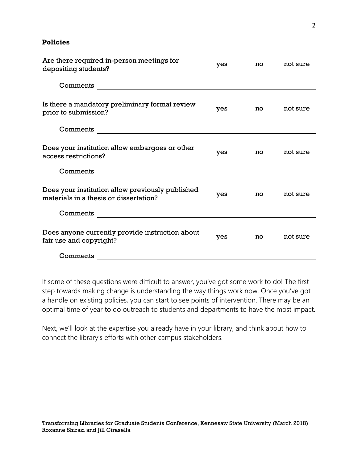#### **Policies**

| Are there required in-person meetings for<br>depositing students?                                                                | yes | no | not sure |
|----------------------------------------------------------------------------------------------------------------------------------|-----|----|----------|
| Comments<br><u> 1980 - Jan Stein Stein Stein Stein Stein Stein Stein Stein Stein Stein Stein Stein Stein Stein Stein Stein S</u> |     |    |          |
| Is there a mandatory preliminary format review<br>prior to submission?                                                           | yes | no | not sure |
| Comments                                                                                                                         |     |    |          |
| Does your institution allow embargoes or other<br>access restrictions?                                                           | yes | no | not sure |
| Comments                                                                                                                         |     |    |          |
| Does your institution allow previously published<br>materials in a thesis or dissertation?                                       | yes | no | not sure |
|                                                                                                                                  |     |    |          |
| Does anyone currently provide instruction about<br>fair use and copyright?                                                       | yes | no | not sure |
| Comments                                                                                                                         |     |    |          |

If some of these questions were difficult to answer, you've got some work to do! The first step towards making change is understanding the way things work now. Once you've got a handle on existing policies, you can start to see points of intervention. There may be an optimal time of year to do outreach to students and departments to have the most impact.

Next, we'll look at the expertise you already have in your library, and think about how to connect the library's efforts with other campus stakeholders.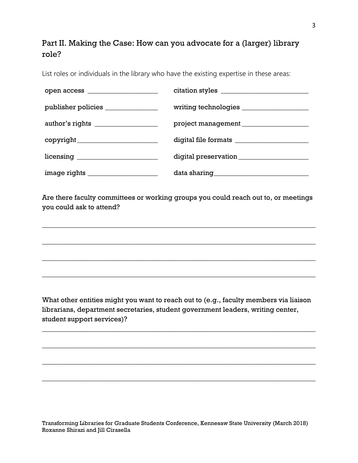# Part II. Making the Case: How can you advocate for a (larger) library role?

List roles or individuals in the library who have the existing expertise in these areas:

| publisher policies _______________   |  |
|--------------------------------------|--|
| author's rights ___________________  |  |
|                                      |  |
|                                      |  |
| image rights _______________________ |  |

Are there faculty committees or working groups you could reach out to, or meetings you could ask to attend?

\_\_\_\_\_\_\_\_\_\_\_\_\_\_\_\_\_\_\_\_\_\_\_\_\_\_\_\_\_\_\_\_\_\_\_\_\_\_\_\_\_\_\_\_\_\_\_\_\_\_\_\_\_\_\_\_\_\_\_\_\_\_\_\_\_\_\_\_\_\_\_\_\_\_\_\_\_\_

\_\_\_\_\_\_\_\_\_\_\_\_\_\_\_\_\_\_\_\_\_\_\_\_\_\_\_\_\_\_\_\_\_\_\_\_\_\_\_\_\_\_\_\_\_\_\_\_\_\_\_\_\_\_\_\_\_\_\_\_\_\_\_\_\_\_\_\_\_\_\_\_\_\_\_\_\_\_

\_\_\_\_\_\_\_\_\_\_\_\_\_\_\_\_\_\_\_\_\_\_\_\_\_\_\_\_\_\_\_\_\_\_\_\_\_\_\_\_\_\_\_\_\_\_\_\_\_\_\_\_\_\_\_\_\_\_\_\_\_\_\_\_\_\_\_\_\_\_\_\_\_\_\_\_\_\_

\_\_\_\_\_\_\_\_\_\_\_\_\_\_\_\_\_\_\_\_\_\_\_\_\_\_\_\_\_\_\_\_\_\_\_\_\_\_\_\_\_\_\_\_\_\_\_\_\_\_\_\_\_\_\_\_\_\_\_\_\_\_\_\_\_\_\_\_\_\_\_\_\_\_\_\_\_\_

What other entities might you want to reach out to (e.g., faculty members via liaison librarians, department secretaries, student government leaders, writing center, student support services)?

\_\_\_\_\_\_\_\_\_\_\_\_\_\_\_\_\_\_\_\_\_\_\_\_\_\_\_\_\_\_\_\_\_\_\_\_\_\_\_\_\_\_\_\_\_\_\_\_\_\_\_\_\_\_\_\_\_\_\_\_\_\_\_\_\_\_\_\_\_\_\_\_\_\_\_\_\_\_

\_\_\_\_\_\_\_\_\_\_\_\_\_\_\_\_\_\_\_\_\_\_\_\_\_\_\_\_\_\_\_\_\_\_\_\_\_\_\_\_\_\_\_\_\_\_\_\_\_\_\_\_\_\_\_\_\_\_\_\_\_\_\_\_\_\_\_\_\_\_\_\_\_\_\_\_\_\_

\_\_\_\_\_\_\_\_\_\_\_\_\_\_\_\_\_\_\_\_\_\_\_\_\_\_\_\_\_\_\_\_\_\_\_\_\_\_\_\_\_\_\_\_\_\_\_\_\_\_\_\_\_\_\_\_\_\_\_\_\_\_\_\_\_\_\_\_\_\_\_\_\_\_\_\_\_\_

\_\_\_\_\_\_\_\_\_\_\_\_\_\_\_\_\_\_\_\_\_\_\_\_\_\_\_\_\_\_\_\_\_\_\_\_\_\_\_\_\_\_\_\_\_\_\_\_\_\_\_\_\_\_\_\_\_\_\_\_\_\_\_\_\_\_\_\_\_\_\_\_\_\_\_\_\_\_

Transforming Libraries for Graduate Students Conference, Kennesaw State University (March 2018) Roxanne Shirazi and Jill Cirasella